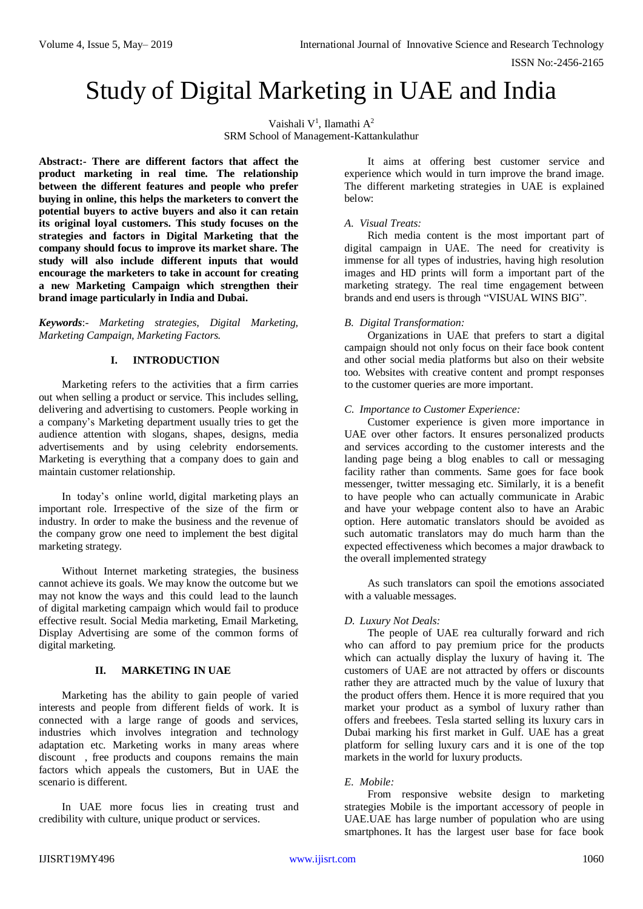# Study of Digital Marketing in UAE and India

Vaishali V<sup>1</sup>, Ilamathi A<sup>2</sup> SRM School of Management-Kattankulathur

**Abstract:- There are different factors that affect the product marketing in real time. The relationship between the different features and people who prefer buying in online, this helps the marketers to convert the potential buyers to active buyers and also it can retain its original loyal customers. This study focuses on the strategies and factors in Digital Marketing that the company should focus to improve its market share. The study will also include different inputs that would encourage the marketers to take in account for creating a new Marketing Campaign which strengthen their brand image particularly in India and Dubai.**

*Keywords*:- *Marketing strategies, Digital Marketing, Marketing Campaign, Marketing Factors.*

# **I. INTRODUCTION**

Marketing refers to the activities that a firm carries out when selling a product or service. This includes selling, delivering and advertising to customers. People working in a company's Marketing department usually tries to get the audience attention with slogans, shapes, designs, media advertisements and by using celebrity endorsements. Marketing is everything that a company does to gain and maintain customer relationship.

In today's online world, [digital marketing](https://www.webfx.com/digital-marketing-services.html) plays an important role. Irrespective of the size of the firm or industry. In order to make the business and the revenue of the company grow one need to implement the best digital marketing strategy.

Without Internet marketing strategies, the business cannot achieve its goals. We may know the outcome but we may not know the ways and this could lead to the launch of digital marketing campaign which would fail to produce effective result. Social Media marketing, Email Marketing, Display Advertising are some of the common forms of digital marketing.

# **II. MARKETING IN UAE**

Marketing has the ability to gain people of varied interests and people from different fields of work. It is connected with a large range of goods and services, industries which involves integration and technology adaptation etc. Marketing works in many areas where discount , free products and coupons remains the main factors which appeals the customers, But in UAE the scenario is different.

In UAE more focus lies in creating trust and credibility with culture, unique product or services.

It aims at offering best customer service and experience which would in turn improve the brand image. The different marketing strategies in UAE is explained below:

## *A. Visual Treats:*

Rich media content is the most important part of digital campaign in UAE. The need for creativity is immense for all types of industries, having high resolution images and HD prints will form a important part of the marketing strategy. The real time engagement between brands and end users is through "VISUAL WINS BIG".

## *B. Digital Transformation:*

Organizations in UAE that prefers to start a digital campaign should not only focus on their face book content and other social media platforms but also on their website too. Websites with creative content and prompt responses to the customer queries are more important.

## *C. Importance to Customer Experience:*

Customer experience is given more importance in UAE over other factors. It ensures personalized products and services according to the customer interests and the landing page being a blog enables to call or messaging facility rather than comments. Same goes for face book messenger, twitter messaging etc. Similarly, it is a benefit to have people who can actually communicate in Arabic and have your webpage content also to have an Arabic option. Here automatic translators should be avoided as such automatic translators may do much harm than the expected effectiveness which becomes a major drawback to the overall implemented strategy

As such translators can spoil the emotions associated with a valuable messages.

# *D. Luxury Not Deals:*

The people of UAE rea culturally forward and rich who can afford to pay premium price for the products which can actually display the luxury of having it. The customers of UAE are not attracted by offers or discounts rather they are attracted much by the value of luxury that the product offers them. Hence it is more required that you market your product as a symbol of luxury rather than offers and freebees. Tesla started selling its luxury cars in Dubai marking his first market in Gulf. UAE has a great platform for selling luxury cars and it is one of the top markets in the world for luxury products.

# *E. Mobile:*

From responsive website design to marketing strategies Mobile is the important accessory of people in UAE.UAE has large number of population who are using smartphones. It has the largest user base for face book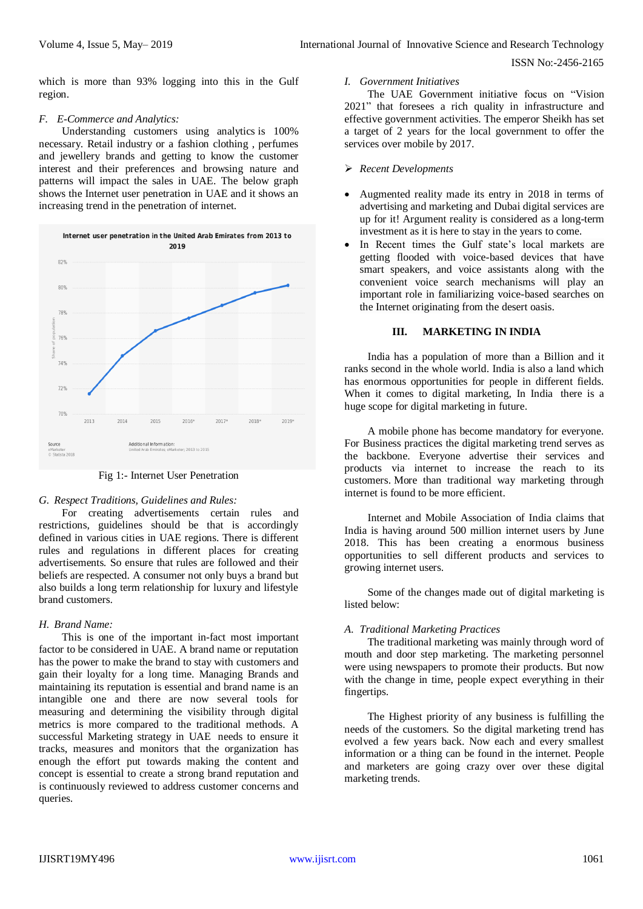which is more than 93% logging into this in the Gulf region.

#### *F. E-Commerce and Analytics:*

[Understanding](http://www.techdivine.com/our-services/your-smq-quality-audit-reports/) customers using analytics is 100% necessary. Retail industry or a fashion clothing , perfumes and jewellery brands and getting to know the customer interest and their preferences and browsing nature and patterns will impact the sales in UAE. The below graph shows the Internet user penetration in UAE and it shows an increasing trend in the penetration of internet.



Fig 1:- Internet User Penetration

## *G. Respect Traditions, Guidelines and Rules:*

For creating advertisements certain rules and restrictions, guidelines should be that is accordingly defined in various cities in UAE regions. There is different rules and regulations in different places for creating advertisements. So ensure that rules are followed and their beliefs are respected. A consumer not only buys a brand but also builds a long term relationship for luxury and lifestyle brand customers.

## *H. Brand Name:*

This is one of the important in-fact most important factor to be considered in UAE. A brand name or reputation has the power to make the brand to stay with customers and gain their loyalty for a long time. Managing Brands and maintaining its reputation is essential and brand name is an intangible one and there are now several tools for measuring and determining the visibility through digital metrics is more compared to the traditional methods. A successful [Marketing](http://www.techdivine.com/about-us/case-studies/) strategy in UAE needs to ensure it tracks, measures and monitors that the organization has enough the effort put towards making the content and concept is essential to create a strong brand reputation and is continuously reviewed to address customer concerns and queries.

#### *I. Government Initiatives*

The UAE Government initiative focus on "Vision 2021" that foresees a rich quality in infrastructure and effective government activities. The emperor Sheikh has set a target of 2 years for the local government to offer the services over mobile by 2017.

#### *Recent Developments*

- Augmented reality made its entry in 2018 in terms of advertising and marketing and Dubai digital services are up for it! Argument reality is considered as a long-term investment as it is here to stay in the years to come.
- In Recent times the Gulf state's local markets are getting flooded with voice-based devices that have smart speakers, and voice assistants along with the convenient voice search mechanisms will play an important role in familiarizing voice-based searches on the Internet originating from the desert oasis.

## **III. MARKETING IN INDIA**

India has a population of more than a Billion and it ranks second in the whole world. India is also a land which has enormous opportunities for people in different fields. When it comes to [digital marketing,](https://staenz.com/free-digital-marketing-certification-online/) In India there is a huge scope for digital marketing in future.

A mobile phone has become mandatory for everyone. For Business practices the digital marketing trend serves as the backbone. Everyone advertise their services and products via internet to increase the reach to its customers. More than traditional way marketing through internet is found to be more efficient.

Internet and Mobile Association of India claims that India is having around 500 million internet users by June 2018. This has been creating a enormous business opportunities to sell different products and services to growing internet users.

Some of the changes made out of digital marketing is listed below:

## *A. Traditional Marketing Practices*

The traditional marketing was mainly through word of mouth and door step marketing. The marketing personnel were using newspapers to promote their products. But now with the change in time, people expect everything in their fingertips.

The Highest priority of any business is fulfilling the needs of the customers. So the digital marketing trend has evolved a few years back. Now each and every smallest information or a thing can be found in the internet. People and marketers are going crazy over over these digital marketing trends.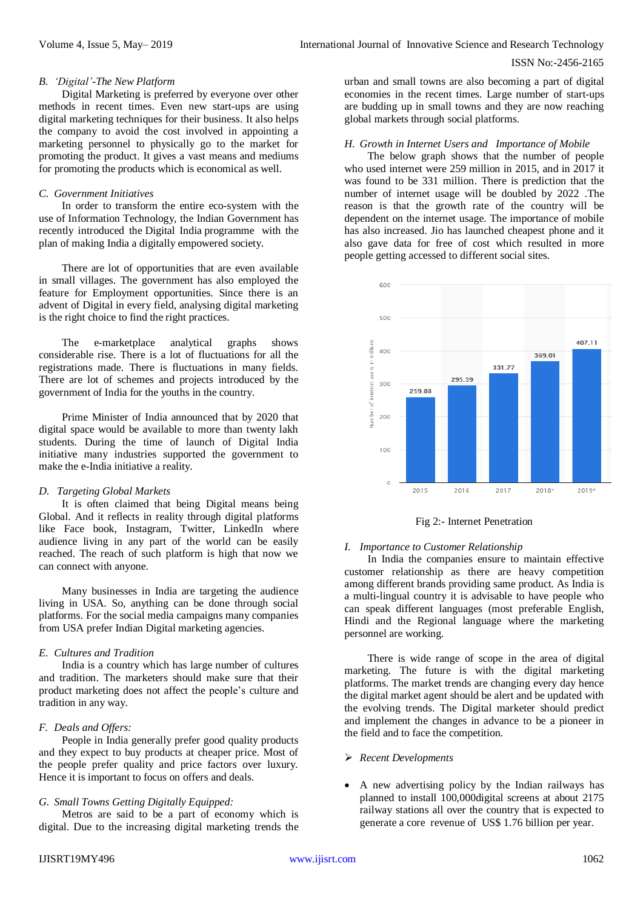#### *B. 'Digital'-The New Platform*

Digital Marketing is preferred by everyone over other methods in recent times. Even new start-ups are using digital marketing techniques for their business. It also helps the company to avoid the cost involved in appointing a marketing personnel to physically go to the market for promoting the product. It gives a vast means and mediums for promoting the products which is economical as well.

#### *C. Government Initiatives*

In order to transform the entire eco-system with the use of Information Technology, the Indian Government has recently introduced the [Digital India](http://digitalindia.gov.in/) programme with the plan of making India a digitally empowered society.

There are lot of opportunities that are even available in small villages. The government has also employed the feature for Employment opportunities. Since there is an advent of Digital in every field, analysing digital marketing is the right choice to find the right practices.

The e-marketplace analytical graphs shows considerable rise. There is a lot of fluctuations for all the registrations made. There is fluctuations in many fields. There are lot of schemes and projects introduced by the government of India for the youths in the country.

Prime Minister of India announced that by 2020 that digital space would be available to more than twenty lakh students. During the time of launch of Digital India initiative many industries supported the government to make the e-India initiative a reality.

## *D. Targeting Global Markets*

It is often claimed that being Digital means being Global. And it reflects in reality through digital platforms like Face book, Instagram, Twitter, LinkedIn where audience living in any part of the world can be easily reached. The reach of such platform is high that now we can connect with anyone.

Many businesses in India are targeting the audience living in USA. So, anything can be done through social platforms. For the social media campaigns many companies from USA prefer Indian Digital marketing agencies.

## *E. Cultures and Tradition*

India is a country which has large number of cultures and tradition. The marketers should make sure that their product marketing does not affect the people's culture and tradition in any way.

## *F. Deals and Offers:*

People in India generally prefer good quality products and they expect to buy products at cheaper price. Most of the people prefer quality and price factors over luxury. Hence it is important to focus on offers and deals.

## *G. Small Towns Getting Digitally Equipped:*

Metros are said to be a part of economy which is digital. Due to the increasing digital marketing trends the

urban and small towns are also becoming a part of digital economies in the recent times. Large number of start-ups are budding up in small towns and they are now reaching global markets through social platforms.

# *H. Growth in Internet Users and Importance of Mobile*

The below graph shows that the number of people who used internet were 259 million in 2015, and in 2017 it was found to be 331 million. There is prediction that the number of internet usage will be doubled by 2022 .The reason is that the growth rate of the country will be dependent on the internet usage. The importance of mobile has also increased. Jio has launched cheapest phone and it also gave data for free of cost which resulted in more people getting accessed to different social sites.



Fig 2:- Internet Penetration

## *I. Importance to Customer Relationship*

In India the companies ensure to maintain effective customer relationship as there are heavy competition among different brands providing same product. As India is a multi-lingual country it is advisable to have people who can speak different languages (most preferable English, Hindi and the Regional language where the marketing personnel are working.

There is wide range of scope in the area of digital marketing. The future is with the digital marketing platforms. The market trends are changing every day hence the digital market agent should be alert and be updated with the evolving trends. The Digital marketer should predict and implement the changes in advance to be a pioneer in the field and to face the competition.

- *Recent Developments*
- A new advertising policy by the Indian railways has planned to install 100,000digital screens at about 2175 railway stations all over the country that is expected to generate a core revenue of US\$ 1.76 billion per year.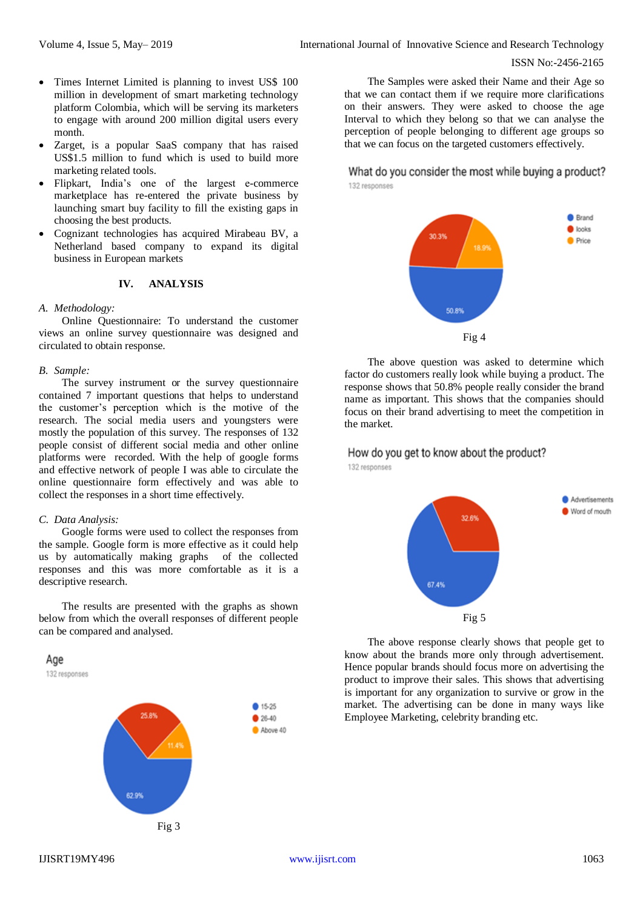- Times Internet Limited is planning to invest US\$ 100 million in development of smart marketing technology platform Colombia, which will be serving its marketers to engage with around 200 million digital users every month.
- Zarget, is a popular SaaS company that has raised US\$1.5 million to fund which is used to build more marketing related tools.
- Flipkart, India's one of the largest e-commerce marketplace has re-entered the private business by launching smart buy facility to fill the existing gaps in choosing the best products.
- Cognizant technologies has acquired Mirabeau BV, a Netherland based company to expand its digital business in European markets

#### **IV. ANALYSIS**

#### *A. Methodology:*

Online Questionnaire: To understand the customer views an online survey questionnaire was designed and circulated to obtain response.

#### *B. Sample:*

The survey instrument or the survey questionnaire contained 7 important questions that helps to understand the customer's perception which is the motive of the research. The social media users and youngsters were mostly the population of this survey. The responses of 132 people consist of different social media and other online platforms were recorded. With the help of google forms and effective network of people I was able to circulate the online questionnaire form effectively and was able to collect the responses in a short time effectively.

## *C. Data Analysis:*

Google forms were used to collect the responses from the sample. Google form is more effective as it could help us by automatically making graphs of the collected responses and this was more comfortable as it is a descriptive research.

The results are presented with the graphs as shown below from which the overall responses of different people can be compared and analysed.



132 responses



The Samples were asked their Name and their Age so that we can contact them if we require more clarifications on their answers. They were asked to choose the age Interval to which they belong so that we can analyse the perception of people belonging to different age groups so that we can focus on the targeted customers effectively.

What do you consider the most while buying a product? 132 responses



The above question was asked to determine which factor do customers really look while buying a product. The response shows that 50.8% people really consider the brand name as important. This shows that the companies should focus on their brand advertising to meet the competition in the market.

# How do you get to know about the product?

132 responses



The above response clearly shows that people get to know about the brands more only through advertisement. Hence popular brands should focus more on advertising the product to improve their sales. This shows that advertising is important for any organization to survive or grow in the market. The advertising can be done in many ways like Employee Marketing, celebrity branding etc.

● 15.25  $$26-40$ Above 40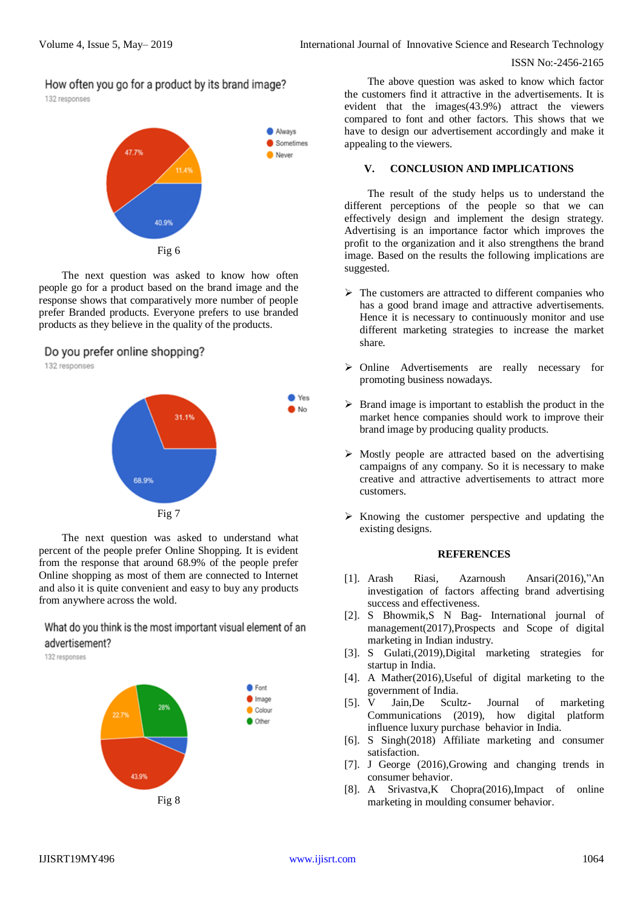How often you go for a product by its brand image?

132 responses



The next question was asked to know how often people go for a product based on the brand image and the response shows that comparatively more number of people prefer Branded products. Everyone prefers to use branded products as they believe in the quality of the products.

# Do you prefer online shopping?

132 responses



The next question was asked to understand what percent of the people prefer Online Shopping. It is evident from the response that around 68.9% of the people prefer Online shopping as most of them are connected to Internet and also it is quite convenient and easy to buy any products from anywhere across the wold.

What do you think is the most important visual element of an advertisement?

132 responses



The above question was asked to know which factor the customers find it attractive in the advertisements. It is evident that the images(43.9%) attract the viewers compared to font and other factors. This shows that we have to design our advertisement accordingly and make it appealing to the viewers.

## **V. CONCLUSION AND IMPLICATIONS**

The result of the study helps us to understand the different perceptions of the people so that we can effectively design and implement the design strategy. Advertising is an importance factor which improves the profit to the organization and it also strengthens the brand image. Based on the results the following implications are suggested.

- $\triangleright$  The customers are attracted to different companies who has a good brand image and attractive advertisements. Hence it is necessary to continuously monitor and use different marketing strategies to increase the market share.
- Online Advertisements are really necessary for promoting business nowadays.
- $\triangleright$  Brand image is important to establish the product in the market hence companies should work to improve their brand image by producing quality products.
- $\triangleright$  Mostly people are attracted based on the advertising campaigns of any company. So it is necessary to make creative and attractive advertisements to attract more customers.
- $\triangleright$  Knowing the customer perspective and updating the existing designs.

#### **REFERENCES**

- [1]. Arash Riasi, Azarnoush Ansari(2016),"An investigation of factors affecting brand advertising success and effectiveness.
- [2]. S Bhowmik,S N Bag- International journal of management(2017),Prospects and Scope of digital marketing in Indian industry.
- [3]. S Gulati,(2019),Digital marketing strategies for startup in India.
- [4]. A Mather(2016),Useful of digital marketing to the government of India.
- [5]. V Jain,De Scultz- Journal of marketing Communications (2019), how digital platform influence luxury purchase behavior in India.
- [6]. S Singh(2018) Affiliate marketing and consumer satisfaction.
- [7]. J George (2016),Growing and changing trends in consumer behavior.
- [8]. A Srivastva,K Chopra(2016),Impact of online marketing in moulding consumer behavior.